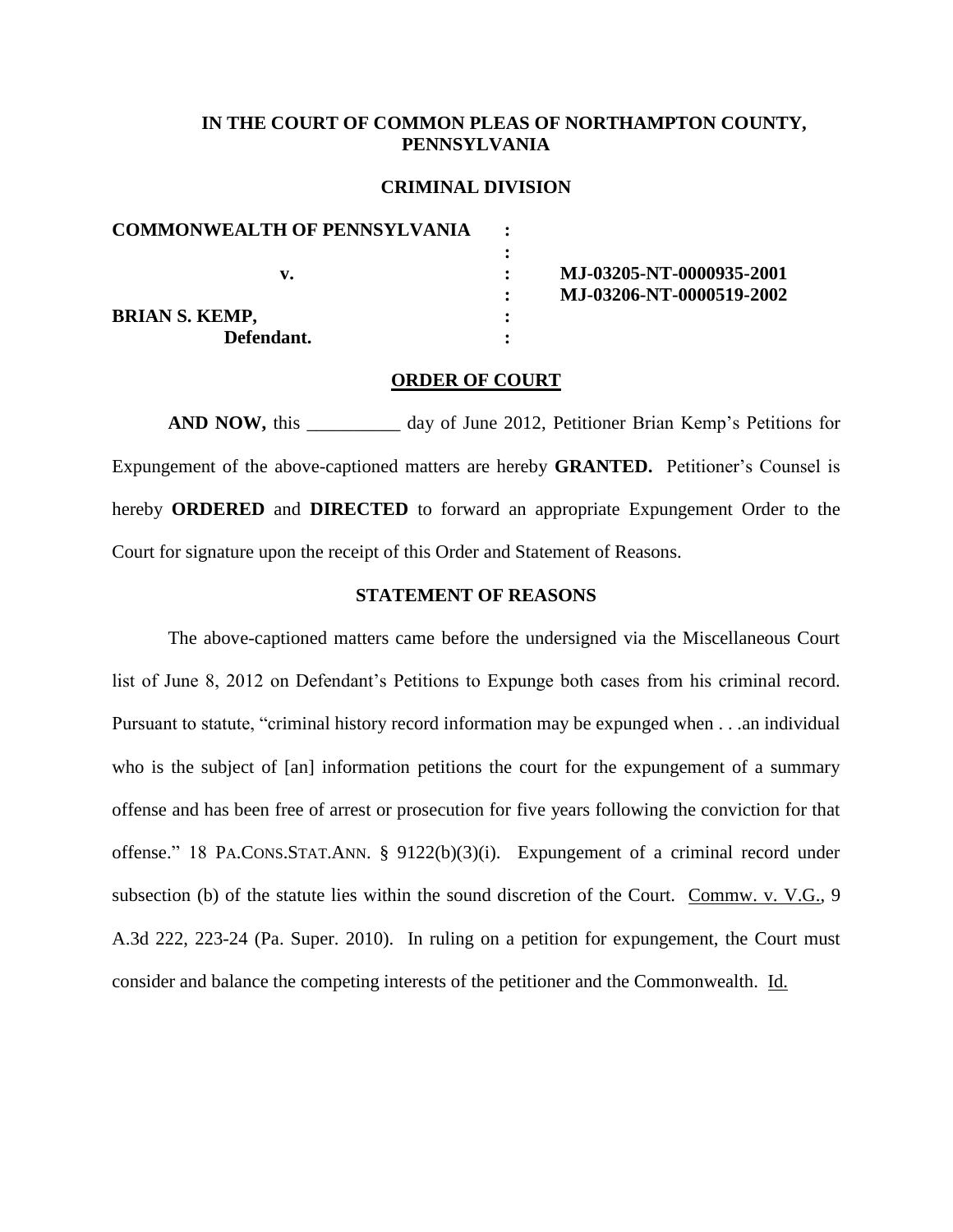## **IN THE COURT OF COMMON PLEAS OF NORTHAMPTON COUNTY, PENNSYLVANIA**

#### **CRIMINAL DIVISION**

| MJ-03205-NT-0000935-2001 |
|--------------------------|
| MJ-03206-NT-0000519-2002 |
|                          |
|                          |
|                          |

#### **ORDER OF COURT**

**AND NOW,** this \_\_\_\_\_\_\_\_\_\_ day of June 2012, Petitioner Brian Kemp's Petitions for Expungement of the above-captioned matters are hereby **GRANTED.** Petitioner's Counsel is hereby **ORDERED** and **DIRECTED** to forward an appropriate Expungement Order to the Court for signature upon the receipt of this Order and Statement of Reasons.

#### **STATEMENT OF REASONS**

The above-captioned matters came before the undersigned via the Miscellaneous Court list of June 8, 2012 on Defendant's Petitions to Expunge both cases from his criminal record. Pursuant to statute, "criminal history record information may be expunged when . . .an individual who is the subject of [an] information petitions the court for the expungement of a summary offense and has been free of arrest or prosecution for five years following the conviction for that offense." 18 PA.CONS.STAT.ANN. § 9122(b)(3)(i). Expungement of a criminal record under subsection (b) of the statute lies within the sound discretion of the Court. Commw. v. V.G., 9 A.3d 222, 223-24 (Pa. Super. 2010). In ruling on a petition for expungement, the Court must consider and balance the competing interests of the petitioner and the Commonwealth. Id.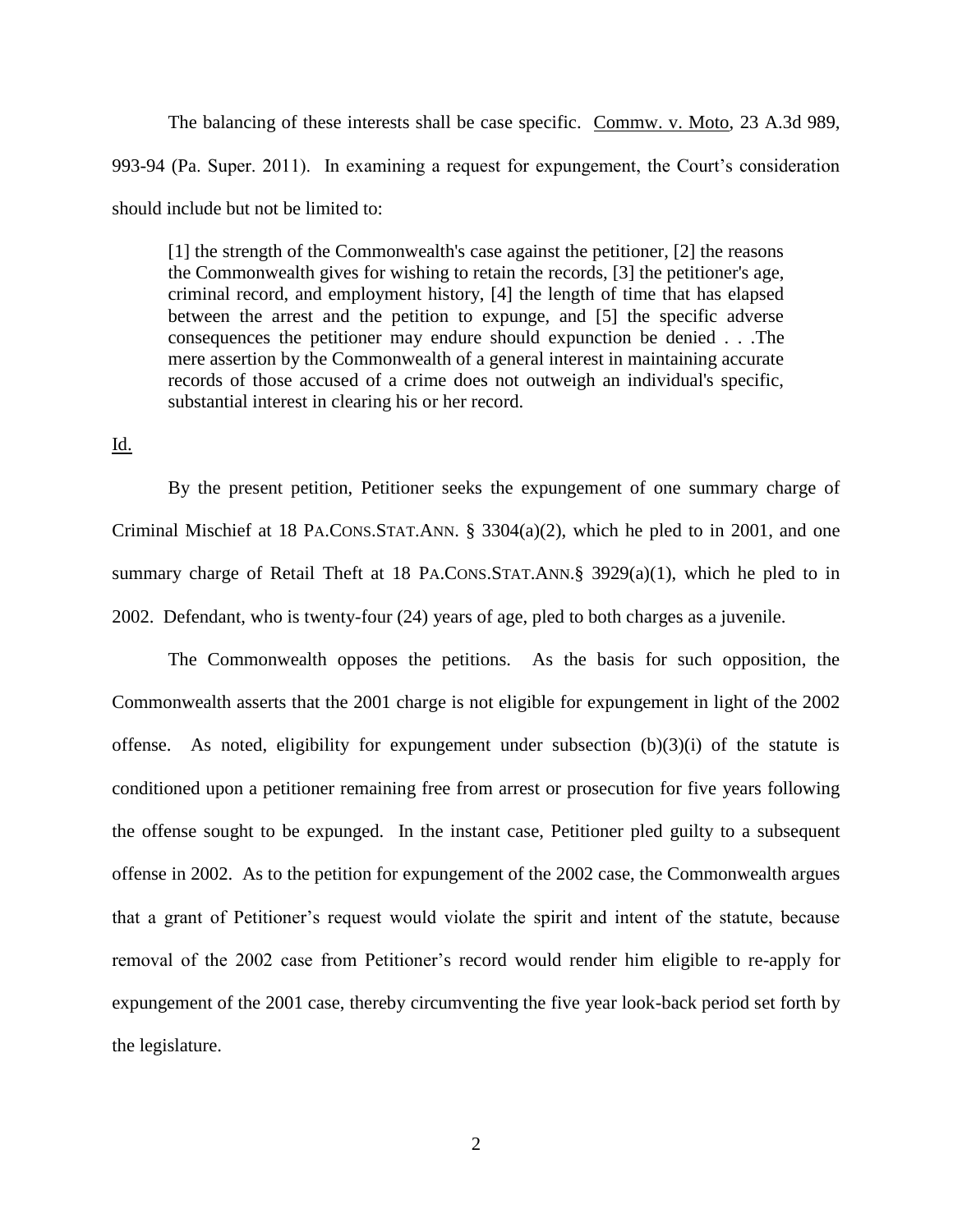The balancing of these interests shall be case specific. Commw. v. Moto, 23 A.3d 989, 993-94 (Pa. Super. 2011). In examining a request for expungement, the Court's consideration should include but not be limited to:

[1] the strength of the Commonwealth's case against the petitioner, [2] the reasons the Commonwealth gives for wishing to retain the records, [3] the petitioner's age, criminal record, and employment history, [4] the length of time that has elapsed between the arrest and the petition to expunge, and [5] the specific adverse consequences the petitioner may endure should expunction be denied . . .The mere assertion by the Commonwealth of a general interest in maintaining accurate records of those accused of a crime does not outweigh an individual's specific, substantial interest in clearing his or her record.

### Id.

By the present petition, Petitioner seeks the expungement of one summary charge of Criminal Mischief at 18 PA.CONS.STAT.ANN. § 3304(a)(2), which he pled to in 2001, and one summary charge of Retail Theft at 18 PA.CONS.STAT.ANN.§ 3929(a)(1), which he pled to in 2002. Defendant, who is twenty-four (24) years of age, pled to both charges as a juvenile.

The Commonwealth opposes the petitions. As the basis for such opposition, the Commonwealth asserts that the 2001 charge is not eligible for expungement in light of the 2002 offense. As noted, eligibility for expungement under subsection  $(b)(3)(i)$  of the statute is conditioned upon a petitioner remaining free from arrest or prosecution for five years following the offense sought to be expunged. In the instant case, Petitioner pled guilty to a subsequent offense in 2002. As to the petition for expungement of the 2002 case, the Commonwealth argues that a grant of Petitioner's request would violate the spirit and intent of the statute, because removal of the 2002 case from Petitioner's record would render him eligible to re-apply for expungement of the 2001 case, thereby circumventing the five year look-back period set forth by the legislature.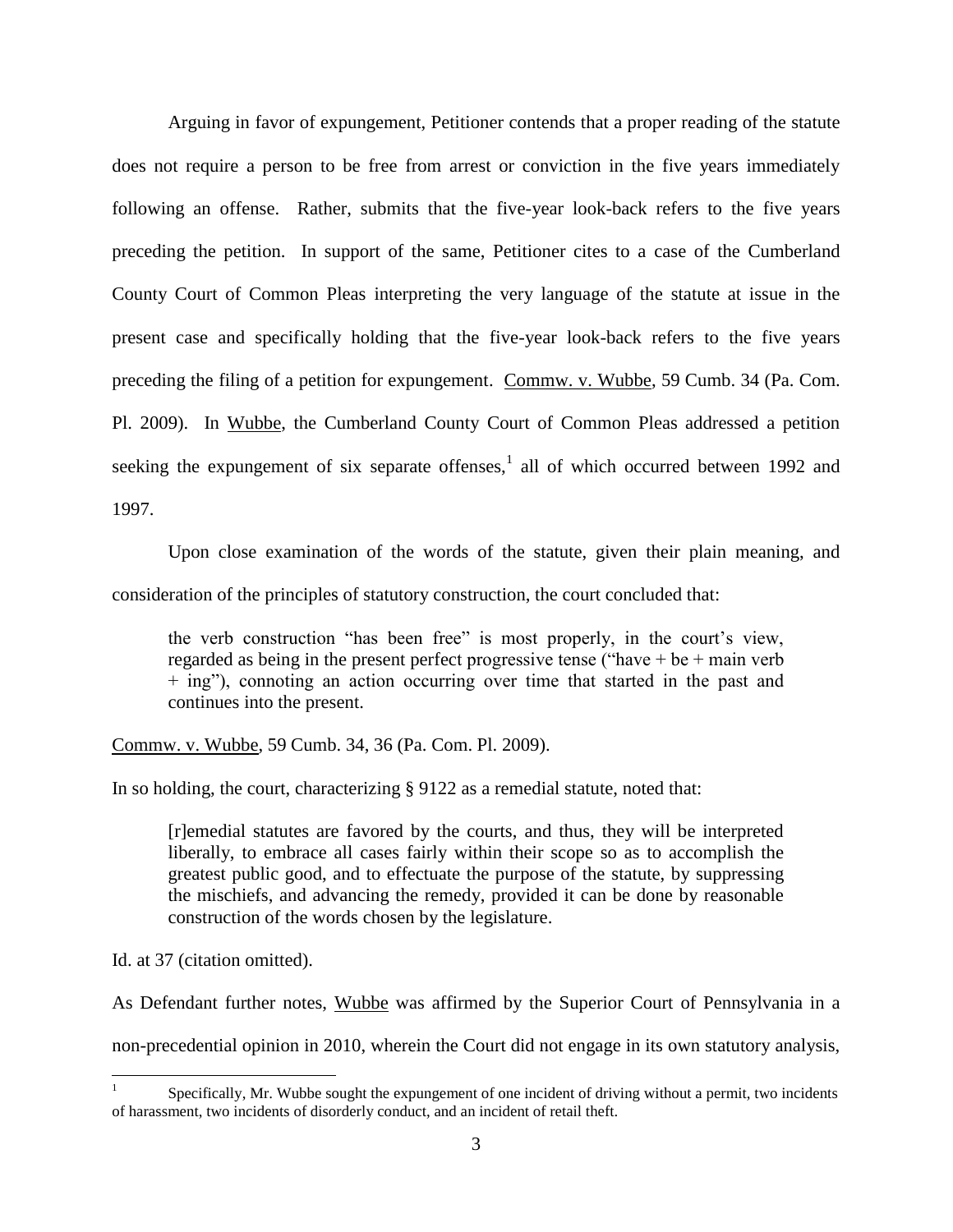Arguing in favor of expungement, Petitioner contends that a proper reading of the statute does not require a person to be free from arrest or conviction in the five years immediately following an offense. Rather, submits that the five-year look-back refers to the five years preceding the petition. In support of the same, Petitioner cites to a case of the Cumberland County Court of Common Pleas interpreting the very language of the statute at issue in the present case and specifically holding that the five-year look-back refers to the five years preceding the filing of a petition for expungement. Commw. v. Wubbe, 59 Cumb. 34 (Pa. Com. Pl. 2009). In Wubbe, the Cumberland County Court of Common Pleas addressed a petition seeking the expungement of six separate offenses,<sup>1</sup> all of which occurred between 1992 and 1997.

Upon close examination of the words of the statute, given their plain meaning, and consideration of the principles of statutory construction, the court concluded that:

the verb construction "has been free" is most properly, in the court's view, regarded as being in the present perfect progressive tense ("have + be + main verb + ing"), connoting an action occurring over time that started in the past and continues into the present.

Commw. v. Wubbe, 59 Cumb. 34, 36 (Pa. Com. Pl. 2009).

In so holding, the court, characterizing § 9122 as a remedial statute, noted that:

[r]emedial statutes are favored by the courts, and thus, they will be interpreted liberally, to embrace all cases fairly within their scope so as to accomplish the greatest public good, and to effectuate the purpose of the statute, by suppressing the mischiefs, and advancing the remedy, provided it can be done by reasonable construction of the words chosen by the legislature.

Id. at 37 (citation omitted).

 $\overline{a}$ 

As Defendant further notes, Wubbe was affirmed by the Superior Court of Pennsylvania in a

non-precedential opinion in 2010, wherein the Court did not engage in its own statutory analysis,

<sup>1</sup> Specifically, Mr. Wubbe sought the expungement of one incident of driving without a permit, two incidents of harassment, two incidents of disorderly conduct, and an incident of retail theft.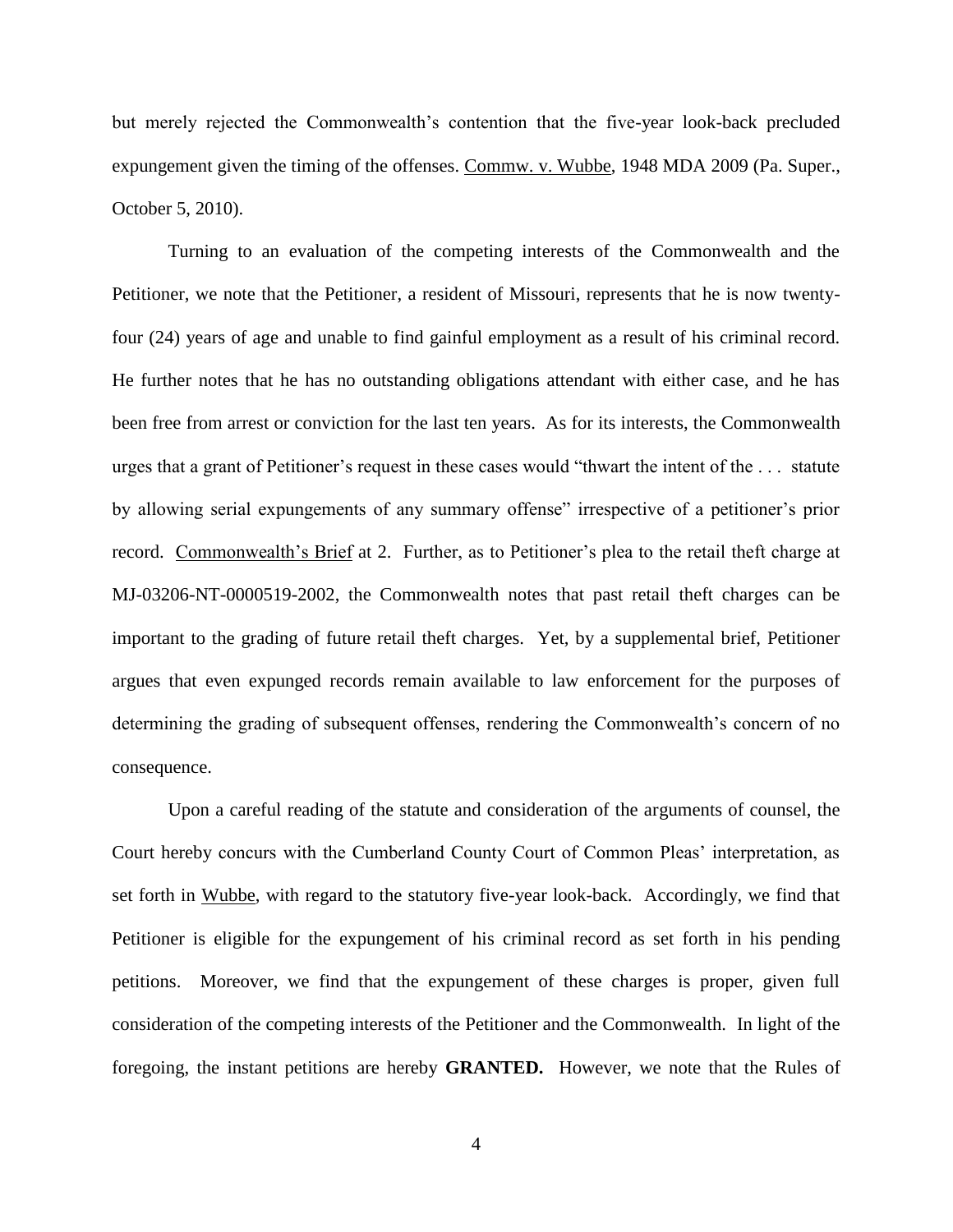but merely rejected the Commonwealth's contention that the five-year look-back precluded expungement given the timing of the offenses. Commw. v. Wubbe, 1948 MDA 2009 (Pa. Super., October 5, 2010).

Turning to an evaluation of the competing interests of the Commonwealth and the Petitioner, we note that the Petitioner, a resident of Missouri, represents that he is now twentyfour (24) years of age and unable to find gainful employment as a result of his criminal record. He further notes that he has no outstanding obligations attendant with either case, and he has been free from arrest or conviction for the last ten years. As for its interests, the Commonwealth urges that a grant of Petitioner's request in these cases would "thwart the intent of the . . . statute by allowing serial expungements of any summary offense" irrespective of a petitioner's prior record. Commonwealth's Brief at 2. Further, as to Petitioner's plea to the retail theft charge at MJ-03206-NT-0000519-2002, the Commonwealth notes that past retail theft charges can be important to the grading of future retail theft charges. Yet, by a supplemental brief, Petitioner argues that even expunged records remain available to law enforcement for the purposes of determining the grading of subsequent offenses, rendering the Commonwealth's concern of no consequence.

Upon a careful reading of the statute and consideration of the arguments of counsel, the Court hereby concurs with the Cumberland County Court of Common Pleas' interpretation, as set forth in Wubbe, with regard to the statutory five-year look-back. Accordingly, we find that Petitioner is eligible for the expungement of his criminal record as set forth in his pending petitions. Moreover, we find that the expungement of these charges is proper, given full consideration of the competing interests of the Petitioner and the Commonwealth. In light of the foregoing, the instant petitions are hereby **GRANTED.** However, we note that the Rules of